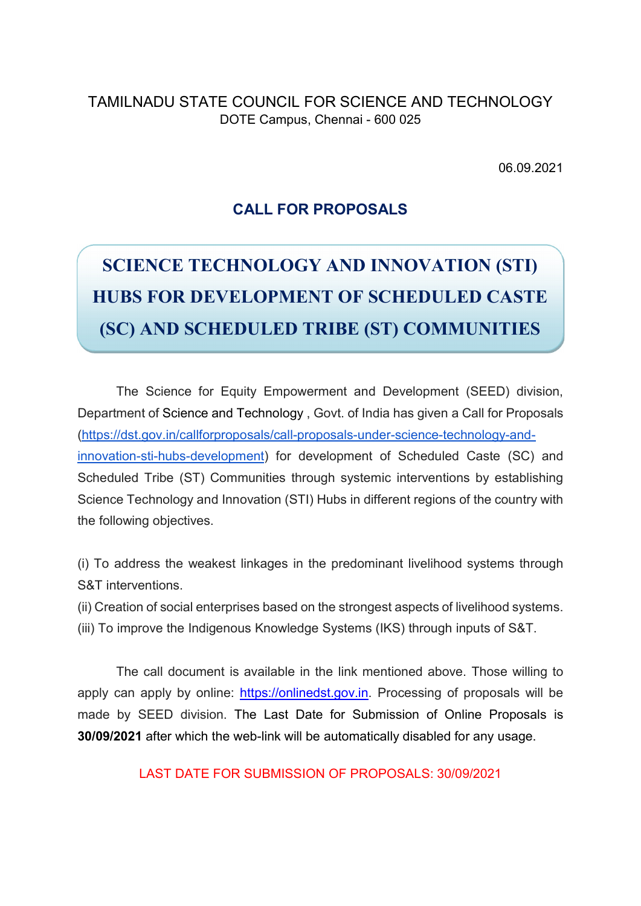TAMILNADU STATE COUNCIL FOR SCIENCE AND TECHNOLOGY DOTE Campus, Chennai - 600 025

06.09.2021

## CALL FOR PROPOSALS

## SCIENCE TECHNOLOGY AND INNOVATION (STI) HUBS FOR DEVELOPMENT OF SCHEDULED CASTE (SC) AND SCHEDULED TRIBE (ST) COMMUNITIES

The Science for Equity Empowerment and Development (SEED) division, Department of Science and Technology , Govt. of India has given a Call for Proposals (https://dst.gov.in/callforproposals/call-proposals-under-science-technology-andinnovation-sti-hubs-development) for development of Scheduled Caste (SC) and Scheduled Tribe (ST) Communities through systemic interventions by establishing Science Technology and Innovation (STI) Hubs in different regions of the country with the following objectives.

(i) To address the weakest linkages in the predominant livelihood systems through S&T interventions.

(ii) Creation of social enterprises based on the strongest aspects of livelihood systems. (iii) To improve the Indigenous Knowledge Systems (IKS) through inputs of S&T.

 The call document is available in the link mentioned above. Those willing to apply can apply by online: https://onlinedst.gov.in. Processing of proposals will be made by SEED division. The Last Date for Submission of Online Proposals is 30/09/2021 after which the web-link will be automatically disabled for any usage.

LAST DATE FOR SUBMISSION OF PROPOSALS: 30/09/2021